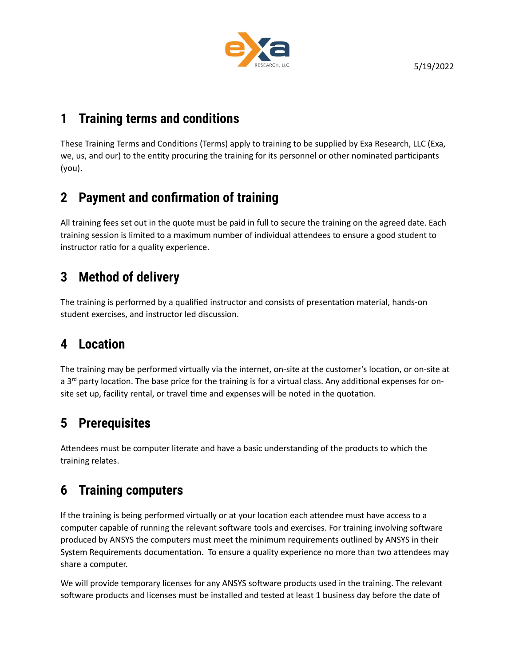

#### 1 Training terms and conditions

These Training Terms and Conditions (Terms) apply to training to be supplied by Exa Research, LLC (Exa, we, us, and our) to the entity procuring the training for its personnel or other nominated participants (you).

#### 2 Payment and confirmation of training

All training fees set out in the quote must be paid in full to secure the training on the agreed date. Each training session is limited to a maximum number of individual attendees to ensure a good student to instructor ratio for a quality experience.

# 3 Method of delivery

The training is performed by a qualified instructor and consists of presentation material, hands-on student exercises, and instructor led discussion.

# 4 Location

The training may be performed virtually via the internet, on-site at the customer's location, or on-site at a  $3<sup>rd</sup>$  party location. The base price for the training is for a virtual class. Any additional expenses for onsite set up, facility rental, or travel time and expenses will be noted in the quotation.

# 5 Prerequisites

Attendees must be computer literate and have a basic understanding of the products to which the training relates.

# 6 Training computers

If the training is being performed virtually or at your location each attendee must have access to a computer capable of running the relevant software tools and exercises. For training involving software produced by ANSYS the computers must meet the minimum requirements outlined by ANSYS in their System Requirements documentation. To ensure a quality experience no more than two attendees may share a computer.

We will provide temporary licenses for any ANSYS software products used in the training. The relevant software products and licenses must be installed and tested at least 1 business day before the date of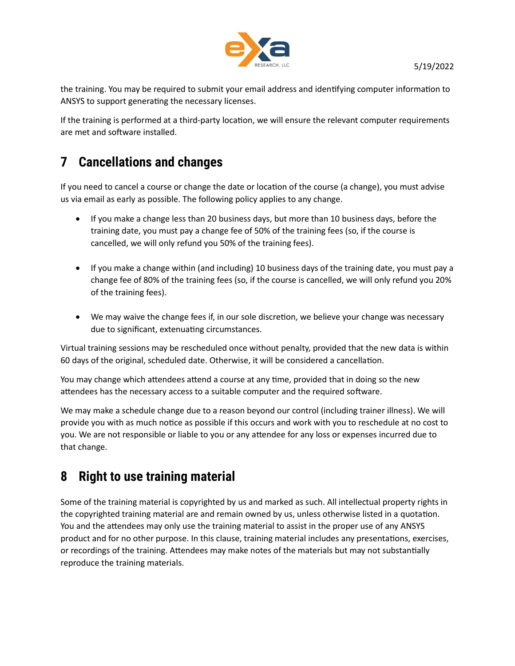

the training. You may be required to submit your email address and identifying computer information to ANSYS to support generating the necessary licenses.

If the training is performed at a third-party location, we will ensure the relevant computer requirements are met and software installed.

#### 7 Cancellations and changes

If you need to cancel a course or change the date or location of the course (a change), you must advise us via email as early as possible. The following policy applies to any change.

- If you make a change less than 20 business days, but more than 10 business days, before the training date, you must pay a change fee of 50% of the training fees (so, if the course is cancelled, we will only refund you 50% of the training fees).
- If you make a change within (and including) 10 business days of the training date, you must pay a change fee of 80% of the training fees (so, if the course is cancelled, we will only refund you 20% of the training fees).
- We may waive the change fees if, in our sole discretion, we believe your change was necessary due to significant, extenuating circumstances.

Virtual training sessions may be rescheduled once without penalty, provided that the new data is within 60 days of the original, scheduled date. Otherwise, it will be considered a cancellation.

You may change which attendees attend a course at any time, provided that in doing so the new attendees has the necessary access to a suitable computer and the required software.

We may make a schedule change due to a reason beyond our control (including trainer illness). We will provide you with as much notice as possible if this occurs and work with you to reschedule at no cost to you. We are not responsible or liable to you or any attendee for any loss or expenses incurred due to that change.

# 8 Right to use training material

Some of the training material is copyrighted by us and marked as such. All intellectual property rights in the copyrighted training material are and remain owned by us, unless otherwise listed in a quotation. You and the attendees may only use the training material to assist in the proper use of any ANSYS product and for no other purpose. In this clause, training material includes any presentations, exercises, or recordings of the training. Attendees may make notes of the materials but may not substantially reproduce the training materials.